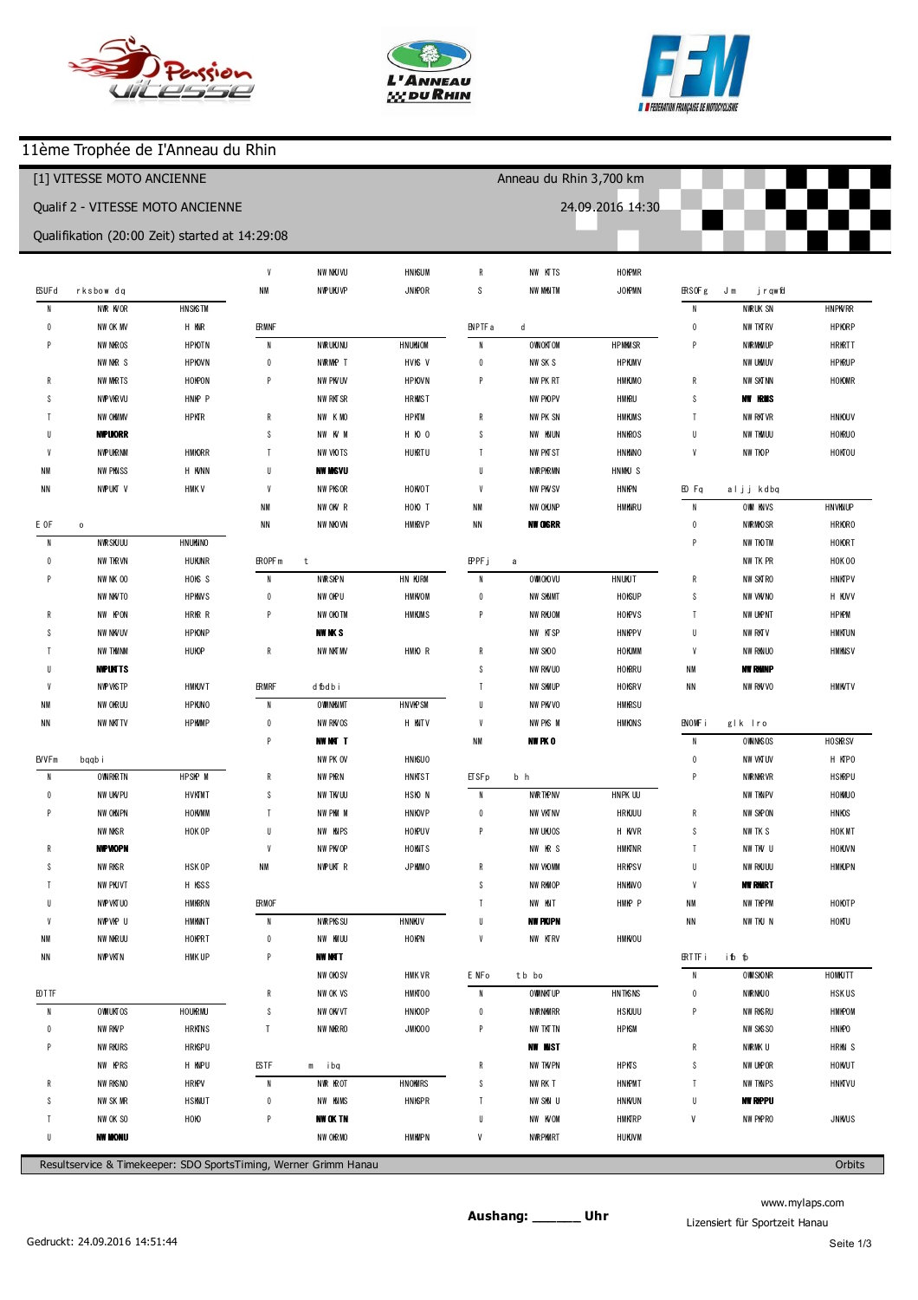





## 11ème Trophée de I'Anneau du Rhin

| [1] VITESSE MOTO ANCIENNE                                                  |                      |                      |                          |                                  |                      |                          | Anneau du Rhin 3,700 km |                      |                                    |                            |                      |
|----------------------------------------------------------------------------|----------------------|----------------------|--------------------------|----------------------------------|----------------------|--------------------------|-------------------------|----------------------|------------------------------------|----------------------------|----------------------|
| Qualif 2 - VITESSE MOTO ANCIENNE                                           |                      |                      |                          |                                  |                      |                          | 24.09.2016 14:30        |                      |                                    |                            |                      |
|                                                                            |                      |                      |                          |                                  |                      |                          |                         |                      |                                    |                            |                      |
| Qualifikation (20:00 Zeit) started at 14:29:08                             |                      |                      |                          |                                  |                      |                          |                         |                      |                                    |                            |                      |
|                                                                            |                      |                      | $\boldsymbol{9}$         | 1 41.898                         | $+1.680$             | 5                        | 1 44.776                | $+2.305$             |                                    |                            |                      |
| (68) Gilles UNVERZAGT                                                      |                      |                      | 010                      | 138.893                          | $-1.325$             | p6                       | 1 40.170                | $-2.301$             |                                    | (562) Jean - Pierre MUTZIG |                      |
| $\overline{1}$                                                             | 154.925              | $+16.670$            |                          |                                  |                      |                          |                         |                      | $\overline{1}$                     | 158.461                    | $+13.955$            |
| $\overline{2}$                                                             | 1 42.409             | $+4.154$             |                          | (501) gilles saltzm ann          |                      | (137) Daniel Griffe      |                         |                      | $\sqrt{2}$                         | 1 47.759                   | $+3.253$             |
| 3                                                                          | 1 41.526             | $+3.271$             | $\overline{1}$           | 158.818                          | $+18.120$            | $\overline{1}$           | 2:12.720                | $+30.065$            | 3                                  | 150.083                    | $+5.577$             |
| Δ                                                                          | 1 41.546             | $+3.291$             | $\overline{2}$           | 150.347                          | $+9.649$             | $\overline{2}$           | 1 46.464                | $+3.809$             | $\overline{4}$                     | 1 48.089                   | $+3.583$             |
| 5                                                                          | 1 40.576             | $+2.321$             | 3                        | 1 43.989                         | $+3.291$             | $\sqrt{3}$               | 1 43.457                | $+0.802$             | 5                                  | 1 46.711                   | $+2.205$             |
| 6                                                                          | 139.598              | $+1.343$             | $\overline{4}$           | 1 45.765                         | $+5.067$             | $\overline{4}$           | 1 43.239                | $+0.584$             | $6\phantom{1}6$                    | 144.506                    |                      |
| $\overline{7}$                                                             | 1 42.009             | $+3.754$             | 5                        | 1 44.402                         | $+3.704$             | 5                        | 1 43.461                | $+0.806$             | $\overline{1}$                     | 1 45.795                   | $+1.289$             |
| 8                                                                          | 138.255              |                      | $6\phantom{1}$           | 1 44.940                         | $+4.242$             | $\boldsymbol{6}$         | 1 44.181                | $+1.526$             | 8                                  | 1 47.088                   | $+2.582$             |
| 9                                                                          | 138.510              | $+0.255$             | $\overline{\phantom{a}}$ | 1 49.276                         | $+8.578$             | $\overline{1}$           | 1 43.767                | $+1.112$             | 9                                  | 1 47.234                   | $+2.728$             |
| 10                                                                         | 1 43.166             | $+4.911$             | 8                        | 140.698                          |                      | 8                        | 153.501                 | $+10.846$            |                                    |                            |                      |
| 11                                                                         | 138.749              | $+0.494$             | 9                        | 1 43.625                         | $+2.927$             | $\boldsymbol{9}$         | 1 43.969                | $+1.314$             |                                    | (24) Thierry DOMMANGET     |                      |
|                                                                            |                      |                      | 10                       | 1 42.945                         | $+2.247$             | 10                       | 1 42.813                | $+0.158$             | $\overline{1}$                     | 204.196                    | $+19.183$            |
| (42) Cyrille Rousselle                                                     |                      |                      | 11                       | 1 41.291                         | $+0.593$             | 11                       | 142655                  |                      | $\sqrt{2}$                         | 150.265                    | $+5.252$             |
| $\overline{1}$                                                             | 156.888              | $+18.112$            |                          |                                  |                      |                          |                         |                      | 3                                  | 1 47.270                   | $+2.257$             |
| $\overline{2}$                                                             | 1 47.591             | $+8.815$             |                          | (523) Pascal W intenberger       |                      |                          | (33) M ichelDum ortier  |                      | $\overline{4}$                     | 1 47.435                   | $+2.422$             |
| 3                                                                          | 1 41.422             | $+2.646$             | $\overline{1}$           | 156.314                          | $+14.850$            | $\overline{1}$           | 202.298                 | $+18.874$            | 5                                  | 1 46.752                   | $+1.739$             |
| $\overline{4}$                                                             | 1 41.972             | $+3.196$             | $\overline{2}$           | 1 42.384                         | $+0.920$             | $\overline{2}$           | 1 46.107                | $+2.683$             | $6\phantom{1}6$                    | 1 49.912                   | $+4.899$             |
| 5                                                                          | 1 44.321             | $+5.545$             | 3                        | 1 42.270                         | $+0.806$             | $\sqrt{3}$               | 1 45.820                | $+2.396$             | $\overline{1}$                     | 1 48.317                   | $+3.304$             |
| $\mathsf{f}$                                                               | 1 41.989             | $+3.213$             | $\overline{4}$           | 141.464                          |                      | $\overline{4}$           | 1 44.763                | $+1.339$             | 8                                  | 1 45.794                   | $+0.781$             |
| 7                                                                          | 1 47.010             | $+8.234$             | 5                        | 1 41.709                         | $+0.245$             | 5                        | 1 46.224                | $+2.800$             | $\overline{9}$                     | 1 45.182                   | $+0.169$             |
| 8                                                                          | 138.776              |                      |                          |                                  |                      | $\boldsymbol{6}$         | 1 45.982                | $+2.558$             | 10                                 | 145.013                    |                      |
| 9                                                                          | 139.673              | $+0.897$             |                          | (505) Bertrand G EGEL            |                      | $\overline{7}$           | 1 46.083                | $+2.659$             | 11                                 | 1 45.992                   | $+0.979$             |
| 10                                                                         | 1 42.588             | $+3.812$             | $\overline{1}$           | 201.107                          | $+19.360$            | $\, 8$                   | 1 43.992                | $+0.568$             |                                    |                            |                      |
| 11                                                                         | 1 41.779             | $+3.003$             | $\overline{2}$           | 1 45.926                         | $+4.179$             | $\boldsymbol{9}$         | 1 43.640                | $+0.216$             |                                    | (120) Lione IJO NCOUR      |                      |
|                                                                            |                      |                      | 3                        | 141.747                          |                      | 10                       | 143.424                 |                      | $\overline{1}$                     | 2:11.626                   | $+26.569$            |
| (99) Pascal ETTEL                                                          |                      |                      | $\overline{4}$           | 1 43.429                         | $+1.682$             |                          |                         |                      | $\sqrt{2}$                         | 1 49.789                   | $+4.732$             |
| $\overline{1}$                                                             | 2:15.571             | $+36.340$            | 5                        | 1 43.514                         | $+1.767$             | (76) Sylvain ECK         |                         |                      | 3                                  | 151.595                    | $+6.538$             |
| $\overline{2}$                                                             | 1 48.938             | $+9.707$             | $6\phantom{1}$           | 1 47.988                         | $+6.241$             | $\overline{1}$           | 157.319                 | $+13.488$            | $\overline{4}$                     | 1 47.139                   | $+2.082$             |
| 3                                                                          | 1 42.131             | $+2.900$             | $\overline{7}$           | 1 43.040                         | $+1.293$             | $\overline{2}$           | 1 49.719                | $+5.888$             | 5                                  | 1 46.321                   | $+1.264$             |
|                                                                            | 1 41.654             | $+2.423$             | 8                        | 1 44.136                         | $+2.389$             | 3                        | 1 48.826                | $+4.995$             | $6\phantom{1}6$                    | 1 47.464                   | $+2.407$             |
| 5                                                                          | 139.231              |                      | 9                        | 1 43.923                         | $+2.176$             | $\overline{4}$           | 1 44.546                | $+0.715$             | $\overline{1}$                     | 1 47.948                   | $+2.891$             |
| 6                                                                          | 1 45.654             | $+6.423$             | 010                      | 138.745                          | $-3.002$             | 5                        | 1 49.200                | $+5.369$             | 8                                  | 1 45.888                   | $+0.831$             |
| $\overline{\phantom{a}}$                                                   | 1 43.897             | $+4.666$             |                          |                                  |                      | $\boldsymbol{6}$         | 1 45.023                | $+1.192$             | $\boldsymbol{9}$                   | 145.057                    |                      |
| $\,$ 8                                                                     | 139.782              | $+0.551$             |                          | (502) anthony hippre             |                      | $\overline{1}$           | 1 44.174                | $+0.343$             | $10$                               | 1 47.330                   | $+2.273$             |
| $\boldsymbol{9}$                                                           | 139.348              | $+0.117$             | $\overline{1}$           | 153.668                          | $+11.894$            | $\, 8$                   | 143.831                 |                      | 11                                 | 1 47.841                   | $+2.784$             |
| 10                                                                         | 1 41.588             | $+2.357$             | $\overline{2}$           | 1 44.088                         | $+2.314$             | $\boldsymbol{9}$         | 1 44.759                | $+0.928$             | (577) Luc LEB IS                   |                            |                      |
| 11                                                                         | 139.714              | $+0.483$             | 3<br>$\overline{4}$      | 141.774                          |                      | (41) R ichard W EBER     |                         |                      | $\overline{1}$                     | 206.215                    | $+20.877$            |
| (277) julien                                                               | harant               |                      | 5                        | 1 42.269<br>1 42.496             | $+0.495$<br>$+0.722$ | $\overline{1}$           | 201.783                 | $+17.616$            | $\overline{2}$                     | 151.824                    | $+6.486$             |
| $\overline{1}$                                                             | 208.726              | $+28.508$            | $6\phantom{.0}$          | 1 42.997                         | $+1.223$             | $\overline{2}$           | 151.055                 | $+6.888$             | $\sqrt{3}$                         | 1 45.658                   | $+0.320$             |
|                                                                            |                      |                      |                          |                                  |                      |                          |                         |                      |                                    |                            |                      |
| $\overline{2}$<br>3                                                        | 1 45.934<br>1 45.856 | $+5.716$<br>$+5.638$ | p7                       | 1 41.552                         | $-0.222$             | $\sqrt{3}$<br>$\sqrt{4}$ | 1 47.771<br>144.167     | $+3.604$             | $\overline{4}$<br>5                | 1 46.662<br>150.484        | $+1.324$<br>$+5.146$ |
| 4                                                                          |                      |                      |                          |                                  |                      | 5                        |                         |                      |                                    |                            |                      |
| 5                                                                          | 1 44.356             | $+4.138$<br>$+5.394$ | $\overline{1}$           | (67) Christian PACLET<br>154.527 | $+12.056$            | $\boldsymbol{6}$         | 1 47.931                | $+3.764$             | $\boldsymbol{6}$<br>$\overline{1}$ | 1 48.325                   | $+2.987$<br>$+1.798$ |
| $6\phantom{1}$                                                             | 1 45.612             |                      |                          |                                  |                      | $\overline{\phantom{a}}$ | 1 45.474                | $+1.307$             | $\bf 8$                            | 1 47.136                   |                      |
| $\overline{1}$                                                             | 1 46.405<br>1 42.462 | $+6.187$<br>$+2.244$ | $\overline{2}$<br>3      | 1 44.106<br>142471               | $+1.635$             | 8                        | 1 46.148<br>1 44.920    | $+1.981$<br>$+0.753$ | p9                                 | 145.338<br>1 43.352        | $-1.986$             |
| 8                                                                          | 140.218              |                      | 4                        | 1 42.502                         | $+0.031$             | p9                       | 153.057                 | $+8.890$             |                                    |                            |                      |
|                                                                            |                      |                      |                          |                                  |                      |                          |                         |                      |                                    |                            |                      |
| Resultservice & Timekeeper: SDO SportsTiming, Werner Grimm Hanau<br>Orbits |                      |                      |                          |                                  |                      |                          |                         |                      |                                    |                            |                      |

www.mylaps.com Lizensiert für Sportzeit Hanau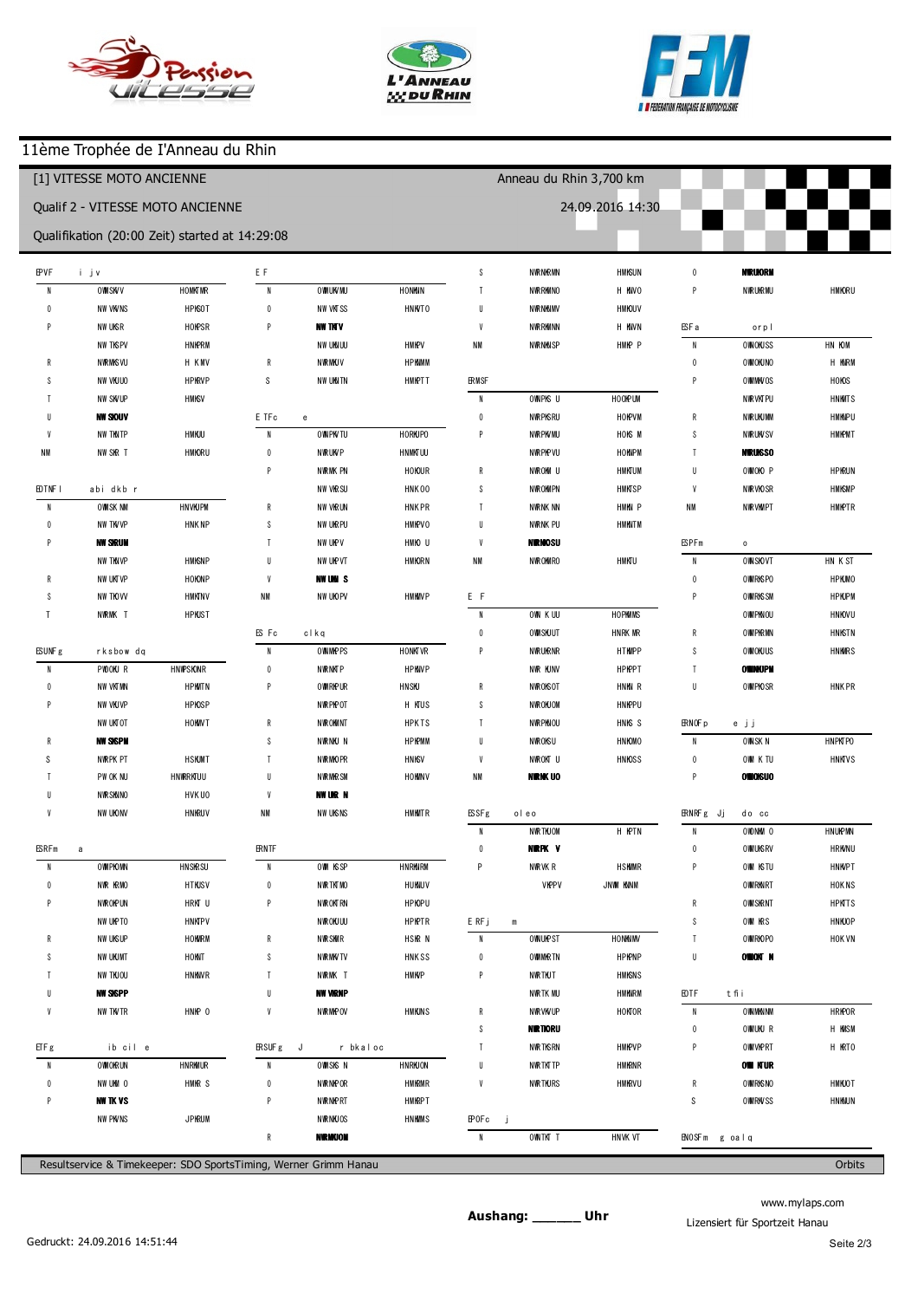





П

## 11ème Trophée de I'Anneau du Rhin

| [1] VITESSE MOTO ANCIENNE               |                                                |            |                          |                                | Anneau du Rhin 3,700 km |                          |                      |             |                   |                       |           |
|-----------------------------------------|------------------------------------------------|------------|--------------------------|--------------------------------|-------------------------|--------------------------|----------------------|-------------|-------------------|-----------------------|-----------|
| <b>Qualif 2 - VITESSE MOTO ANCIENNE</b> |                                                |            |                          |                                |                         |                          | 24.09.2016 14:30     |             |                   |                       |           |
|                                         | Qualifikation (20:00 Zeit) started at 14:29:08 |            |                          |                                |                         |                          |                      |             |                   |                       |           |
| (39) André LAMY                         |                                                |            | (4) gil begny            |                                |                         | 6                        | 151.501              | $+0.681$    | $\overline{2}$    | 158.250               |           |
| $\overline{1}$                          | 206.994                                        | $+20.705$  | $\overline{1}$           | 208.908                        | $+21.114$               | $\overline{\phantom{a}}$ | 155.012              | $+4.192$    | 3                 | 158.508               | $+0.258$  |
| $\overline{2}$                          | 1 49.916                                       | $+3.627$   | $\overline{2}$           | 1 49.766                       | $+1.972$                | 8                        | 151.109              | $+0.289$    |                   |                       |           |
| 3                                       | 1 48.654                                       | $+2.365$   | 3                        | 147.794                        |                         | $\overline{9}$           | 155.011              | $+4.191$    |                   | (6) Dom nique CARUSO  |           |
| 4                                       | 1 47.639                                       | $+1.350$   | $\overline{4}$           | 1 48.188                       | $+0.394$                | 10                       | 151.163              | $+0.343$    | $\overline{1}$    | 2:12.866              | $+14.204$ |
| 5                                       | 150.698                                        | $+4.409$   | 5                        | 150.894                        | $+3.100$                |                          |                      |             | $\overline{2}$    | 202.812               | $+4.150$  |
| 6                                       | 1 49.882                                       | $+3.593$   | p6                       | 1 48.171                       | $+0.377$                | (506) david rub is       |                      |             | 3                 | 2 00.926              | $+2.264$  |
| $\overline{1}$                          | 1 46.983                                       | $+0.694$   |                          |                                |                         | $\overline{1}$           | 2 13.648             | $+22.380$   | 4                 | 159.738               | $+1.076$  |
| 8                                       | 146.289                                        |            |                          | (47) Fabrice Hubrecht          |                         | $\overline{2}$           | 153.658              | $+2.390$    | 5                 | 158.800               | $+0.138$  |
| 9                                       | 1 47.173                                       | $+0.884$   | $\overline{1}$           | 2:13.978                       | $+25.832$               | 3                        | 153.908              | $+2.640$    | 6                 | 158.969               | $+0.307$  |
| 10                                      | 1 46.547                                       | $+0.258$   | $\overline{2}$           | 158.934                        | $+10.788$               | $\overline{4}$           | 153.398              | $+2.130$    | $\overline{7}$    | 158.662               |           |
|                                         |                                                |            | 3                        | 150.431                        | $+2.285$                | 5                        | 152.048              | $+0.780$    | 8                 | 202.243               | $+3.581$  |
|                                         | (271) O livier DELAGNEAU                       |            | $\overline{4}$           | 1 49.568                       | $+1.422$                | $\boldsymbol{6}$         | 152.031              | $+0.763$    | 9                 | 159.265               | $+0.603$  |
| $\overline{1}$                          | 206.410                                        | $+19.830$  | 5                        | 1 49.581                       | $+1.435$                | $\overline{1}$           | 151.411              | $+0.143$    | 10                | 159.037               | $+0.375$  |
| $\overline{2}$                          | 1 47.993                                       | $+1.413$   | $6\phantom{.0}$          | 1 48.538                       | $+0.392$                | 8                        | 151.438              | $+0.170$    |                   |                       |           |
| 3                                       | 146.580                                        |            | $\overline{1}$           | 1 48.394                       | $+0.248$                | 9                        | 151268               |             |                   | (63) Pascal le Roux   |           |
| 4                                       | 1 47.193                                       | $+0.613$   | 8                        | 1 48.397                       | $+0.251$                | 10                       | 152.052              | $+0.784$    | $\mathbf{1}$      | 2:16.297              | $+14.467$ |
| 5                                       | 1 48.793                                       | $+2.213$   | $\overline{9}$           | 148.146                        |                         |                          |                      |             | $\overline{2}$    | 2 05.632              | $+3.802$  |
| 6                                       | 1 47.299                                       | $+0.719$   | 10                       | 1 48.239                       | $+0.093$                |                          | (44) C laude Bemuzzi |             | 3                 | 205.660               | $+3.830$  |
| p7                                      | 150.447                                        | $+3.867$   |                          |                                |                         | $\overline{1}$           | 2:14.488             | $+23.006$   | 4                 | 2 03.128              | $+1.298$  |
|                                         |                                                |            | $(64)$ Fred              | FONT                           |                         | $\overline{2}$           | 206.887              | $+15.405$   | 5                 | 203.501               | $+1.671$  |
|                                         | (681) Jacques UNVERZAGT                        |            | $\overline{1}$           | 2 10.336                       | $+21.795$               | 3                        | 158.515              | $+7.033$    | 6                 | 202.886               | $+1.056$  |
| $\overline{1}$                          | 3 2 2.8 45                                     | $+136.215$ | $\overline{2}$           | 151.734                        | $+3.193$                | 4                        | 154.819              | $+3.337$    | $\overline{1}$    | 201.830               |           |
| $\overline{2}$                          | 1 49.701                                       | $+3.071$   | $\sqrt{3}$               | 205.385                        | $+16.844$               | 5                        | 152.627              | $+1.145$    | 8                 | 203.265               | $+1.435$  |
| 3                                       | 1 49.893                                       | $+3.263$   | $\overline{4}$           | 153.327                        | $+4.786$                | 6                        | 152.820              | $+1.338$    |                   |                       |           |
| 4                                       | 1 48.727                                       | $+2.097$   | 5                        | 152.017                        | $+3.476$                | $\overline{7}$           | 153.128              | $+1.646$    | (512) Serge HAMM  |                       |           |
| - 5                                     | 146.630                                        |            | $6\phantom{1}6$          | 151.841                        | $+3.300$                | 8                        | 152.684              | $+1.202$    | $\overline{1}$    | 2:16.414              | $+13.732$ |
| p6                                      | 153.437                                        | $+6.807$   | $\overline{1}$           | 150.235                        | $+1.694$                | 9                        | 152.748              | $+1.266$    | $\overline{2}$    | 204.478               | $+1.796$  |
| 7                                       | 3 42.418                                       | $+155.788$ | 8                        | 150.560                        | $+2.019$                | 10                       | 151.482              |             | 3                 | 202682                |           |
| 8                                       | 156.112                                        | $+9.482$   | 9                        | 148.541                        |                         |                          |                      |             |                   |                       |           |
| 9                                       | 1 48.219                                       | $+1.589$   | 10                       | 148.616                        | $+0.075$                | (66) Jordan ROHR         |                      |             |                   | (515) Jan-M arc GRAFF |           |
|                                         |                                                |            |                          |                                |                         | $\overline{1}$           | 157.820              | $+4.371$    | $\overline{1}$    | 2 2 1 .042            | $+18.301$ |
|                                         | (65) P ierre D in b leval                      |            |                          | (517) Christophe Charrier      |                         | $\overline{2}$           | 153.449              |             | $\overline{2}$    | 208.659               | $+5.918$  |
| $\mathbf{1}$                            | 203.201                                        | $+16.568$  | $\overline{1}$           | 204.663                        | $+15.150$               | p3                       | 159.454              | $+6.005$    | 3                 | 204.678               | $+1.937$  |
| 2                                       | 154.502                                        | $+7.869$   | $\overline{2}$           | 157.702                        | $+8.189$                | 4                        | 49.339               | $-1.04.110$ | 4                 | 2 05.157              | $+2.416$  |
| 3                                       | 152.381                                        | $+5.748$   | $\overline{3}$           | 152.751                        | $+3.238$                |                          |                      |             | 5                 | 206.517               | $+3.776$  |
| 4                                       | 1 48.372                                       | $+1.739$   | $\overline{4}$           | 152.888                        | $+3.375$                | (45) M iche   Pasca      |                      |             | $\boldsymbol{6}$  | 204.564               | $+1.823$  |
| 5                                       | 1 48.683                                       | $+2.050$   | 5                        | 156.054                        | $+6.541$                | $\overline{1}$           | 2:18.367             | $+21.109$   | $\overline{7}$    | 2 05.232              | $+2.491$  |
| 6                                       | 1 48.807                                       | $+2.174$   | $\boldsymbol{6}$         | 150.979                        | $+1.466$                | $\overline{2}$           | 2 00.571             | $+3.313$    | 8                 | 202741                |           |
|                                         | 1 47.828                                       | $+1.195$   | $\overline{\phantom{a}}$ | 150.447                        | $+0.934$                | 3                        | 157.874              | $+0.616$    |                   |                       |           |
| 8                                       | 146.633                                        |            | $\,$ 8                   | 149.513                        |                         | 4                        | 157.408              | $+0.150$    | (27) patrick W LL |                       |           |
| 9                                       | 1 47.975                                       | $+1.342$   | 9                        | 150.329                        | $+0.816$                | 5                        | 159.983              | $+2.725$    | $\overline{1}$    | 2:10.110              | $+5.325$  |
|                                         |                                                |            |                          |                                |                         | 6                        | 157.258              |             | $\overline{2}$    | 208.845               | $+4.060$  |
| (7) Jean Armel LE FLOCH                 |                                                |            |                          | (568) Jean - C laude BUBENDORF |                         | $\overline{\phantom{a}}$ | 157.651              | $+0.393$    | 3                 | 209.357               | $+4.572$  |
| $\overline{1}$                          | 202.581                                        | $+15.085$  | $\overline{1}$           | 206.641                        | $+15.821$               | 8                        | 157.773              | $+0.515$    | 4                 | 204.785               |           |
| $\overline{2}$                          | 1 48.042                                       | $+0.546$   | $\overline{2}$           | 151.325                        | $+0.505$                | 9                        | 157.856              | $+0.598$    | 5                 | 2 05.612              | $+0.827$  |
| 3                                       | 147.496                                        |            | $\sqrt{3}$               | 151.357                        | $+0.537$                |                          |                      |             | p6                | 205.966               | $+1.181$  |
| p4                                      | 1 43.916                                       | $-3.580$   | $\overline{4}$           | 151.826                        | $+1.006$                | (32) Fred Meyer          |                      |             |                   |                       |           |
|                                         |                                                |            | 5                        | 150.820                        |                         | $\overline{1}$           | 2.17.747             | $+19.497$   | (126) Phil JARDOT |                       |           |
|                                         |                                                |            |                          |                                |                         |                          |                      |             |                   |                       |           |

www.mylaps.com Lizensiert für Sportzeit Hanau